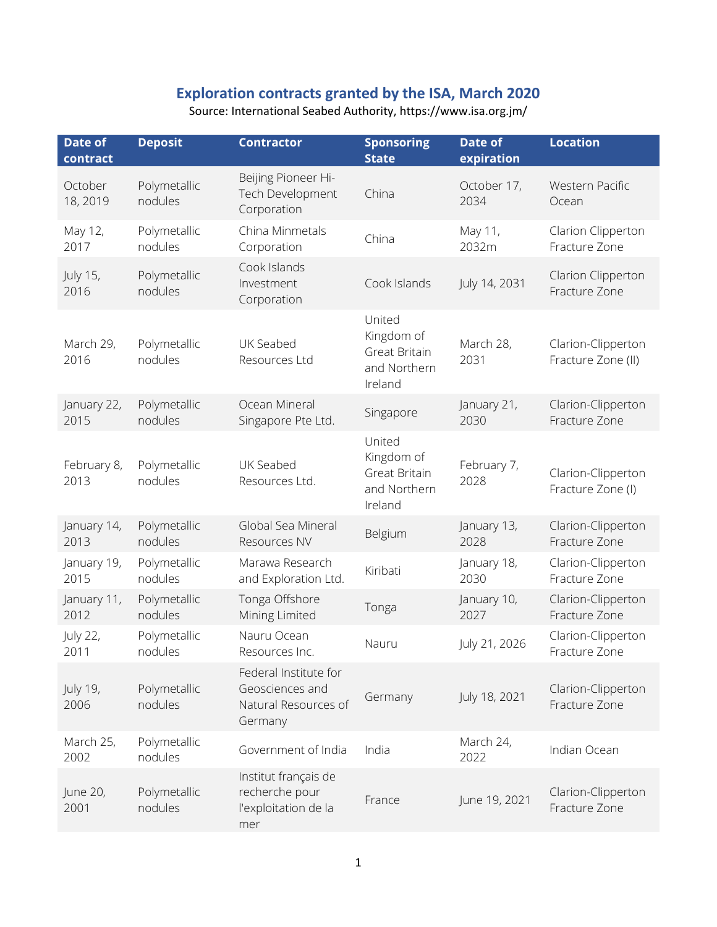## **Exploration contracts granted by the ISA, March 2020**

| Date of<br>contract     | <b>Deposit</b>          | <b>Contractor</b>                                                           | <b>Sponsoring</b><br><b>State</b>                                | Date of<br>expiration | <b>Location</b>                          |
|-------------------------|-------------------------|-----------------------------------------------------------------------------|------------------------------------------------------------------|-----------------------|------------------------------------------|
| October<br>18, 2019     | Polymetallic<br>nodules | Beijing Pioneer Hi-<br>Tech Development<br>Corporation                      | China                                                            | October 17,<br>2034   | Western Pacific<br>Ocean                 |
| May 12,<br>2017         | Polymetallic<br>nodules | China Minmetals<br>Corporation                                              | China                                                            | May 11,<br>2032m      | Clarion Clipperton<br>Fracture Zone      |
| July 15,<br>2016        | Polymetallic<br>nodules | Cook Islands<br>Investment<br>Corporation                                   | Cook Islands                                                     | July 14, 2031         | Clarion Clipperton<br>Fracture Zone      |
| March 29,<br>2016       | Polymetallic<br>nodules | UK Seabed<br>Resources Ltd                                                  | United<br>Kingdom of<br>Great Britain<br>and Northern<br>Ireland | March 28,<br>2031     | Clarion-Clipperton<br>Fracture Zone (II) |
| January 22,<br>2015     | Polymetallic<br>nodules | Ocean Mineral<br>Singapore Pte Ltd.                                         | Singapore                                                        | January 21,<br>2030   | Clarion-Clipperton<br>Fracture Zone      |
| February 8,<br>2013     | Polymetallic<br>nodules | UK Seabed<br>Resources Ltd.                                                 | United<br>Kingdom of<br>Great Britain<br>and Northern<br>Ireland | February 7,<br>2028   | Clarion-Clipperton<br>Fracture Zone (I)  |
| January 14,<br>2013     | Polymetallic<br>nodules | Global Sea Mineral<br>Resources NV                                          | Belgium                                                          | January 13,<br>2028   | Clarion-Clipperton<br>Fracture Zone      |
| January 19,<br>2015     | Polymetallic<br>nodules | Marawa Research<br>and Exploration Ltd.                                     | Kiribati                                                         | January 18,<br>2030   | Clarion-Clipperton<br>Fracture Zone      |
| January 11,<br>2012     | Polymetallic<br>nodules | Tonga Offshore<br>Mining Limited                                            | Tonga                                                            | January 10,<br>2027   | Clarion-Clipperton<br>Fracture Zone      |
| <b>July 22,</b><br>2011 | Polymetallic<br>nodules | Nauru Ocean<br>Resources Inc.                                               | Nauru                                                            | July 21, 2026         | Clarion-Clipperton<br>Fracture Zone      |
| July 19,<br>2006        | Polymetallic<br>nodules | Federal Institute for<br>Geosciences and<br>Natural Resources of<br>Germany | Germany                                                          | July 18, 2021         | Clarion-Clipperton<br>Fracture Zone      |
| March 25,<br>2002       | Polymetallic<br>nodules | Government of India                                                         | India                                                            | March 24,<br>2022     | Indian Ocean                             |
| June 20,<br>2001        | Polymetallic<br>nodules | Institut français de<br>recherche pour<br>l'exploitation de la<br>mer       | France                                                           | June 19, 2021         | Clarion-Clipperton<br>Fracture Zone      |

Source: International Seabed Authority, https://www.isa.org.jm/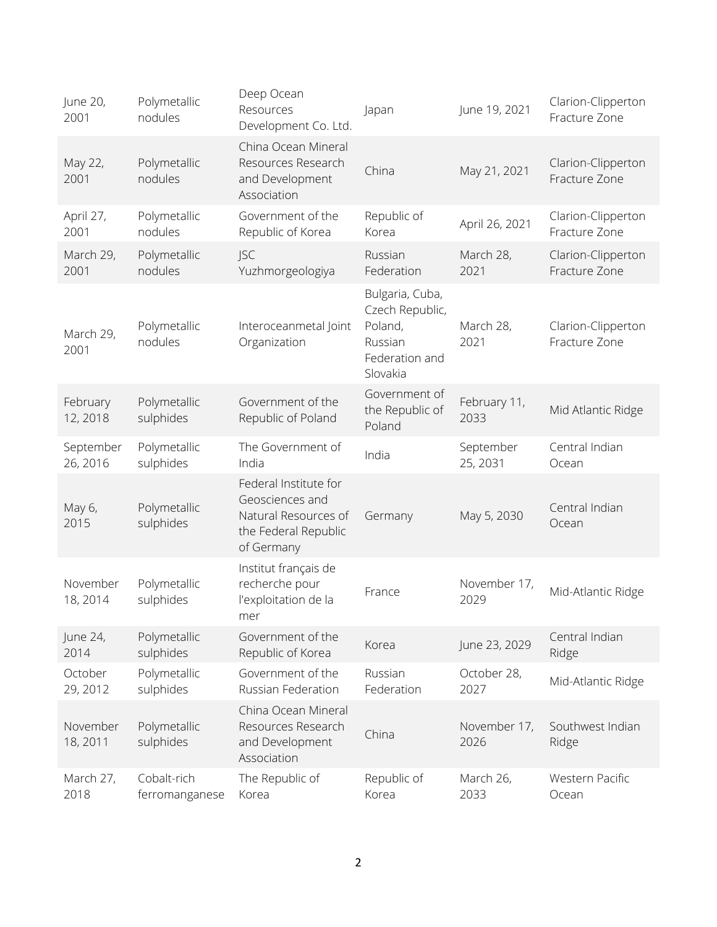| June 20,<br>2001      | Polymetallic<br>nodules       | Deep Ocean<br>Resources<br>Development Co. Ltd.                                                        | Japan                                                                                  | June 19, 2021         | Clarion-Clipperton<br>Fracture Zone |
|-----------------------|-------------------------------|--------------------------------------------------------------------------------------------------------|----------------------------------------------------------------------------------------|-----------------------|-------------------------------------|
| May 22,<br>2001       | Polymetallic<br>nodules       | China Ocean Mineral<br>Resources Research<br>and Development<br>Association                            | China                                                                                  | May 21, 2021          | Clarion-Clipperton<br>Fracture Zone |
| April 27,<br>2001     | Polymetallic<br>nodules       | Government of the<br>Republic of Korea                                                                 | Republic of<br>Korea                                                                   | April 26, 2021        | Clarion-Clipperton<br>Fracture Zone |
| March 29,<br>2001     | Polymetallic<br>nodules       | <b>JSC</b><br>Yuzhmorgeologiya                                                                         | Russian<br>Federation                                                                  | March 28,<br>2021     | Clarion-Clipperton<br>Fracture Zone |
| March 29,<br>2001     | Polymetallic<br>nodules       | Interoceanmetal Joint<br>Organization                                                                  | Bulgaria, Cuba,<br>Czech Republic,<br>Poland,<br>Russian<br>Federation and<br>Slovakia | March 28,<br>2021     | Clarion-Clipperton<br>Fracture Zone |
| February<br>12, 2018  | Polymetallic<br>sulphides     | Government of the<br>Republic of Poland                                                                | Government of<br>the Republic of<br>Poland                                             | February 11,<br>2033  | Mid Atlantic Ridge                  |
| September<br>26, 2016 | Polymetallic<br>sulphides     | The Government of<br>India                                                                             | India                                                                                  | September<br>25, 2031 | Central Indian<br>Ocean             |
| May 6,<br>2015        | Polymetallic<br>sulphides     | Federal Institute for<br>Geosciences and<br>Natural Resources of<br>the Federal Republic<br>of Germany | Germany                                                                                | May 5, 2030           | Central Indian<br>Ocean             |
| November<br>18, 2014  | Polymetallic<br>sulphides     | Institut français de<br>recherche pour<br>l'exploitation de la<br>mer                                  | France                                                                                 | November 17,<br>2029  | Mid-Atlantic Ridge                  |
| June 24,<br>2014      | Polymetallic<br>sulphides     | Government of the<br>Republic of Korea                                                                 | Korea                                                                                  | June 23, 2029         | Central Indian<br>Ridge             |
| October<br>29, 2012   | Polymetallic<br>sulphides     | Government of the<br>Russian Federation                                                                | Russian<br>Federation                                                                  | October 28,<br>2027   | Mid-Atlantic Ridge                  |
| November<br>18, 2011  | Polymetallic<br>sulphides     | China Ocean Mineral<br>Resources Research<br>and Development<br>Association                            | China                                                                                  | November 17,<br>2026  | Southwest Indian<br>Ridge           |
| March 27,<br>2018     | Cobalt-rich<br>ferromanganese | The Republic of<br>Korea                                                                               | Republic of<br>Korea                                                                   | March 26,<br>2033     | Western Pacific<br>Ocean            |